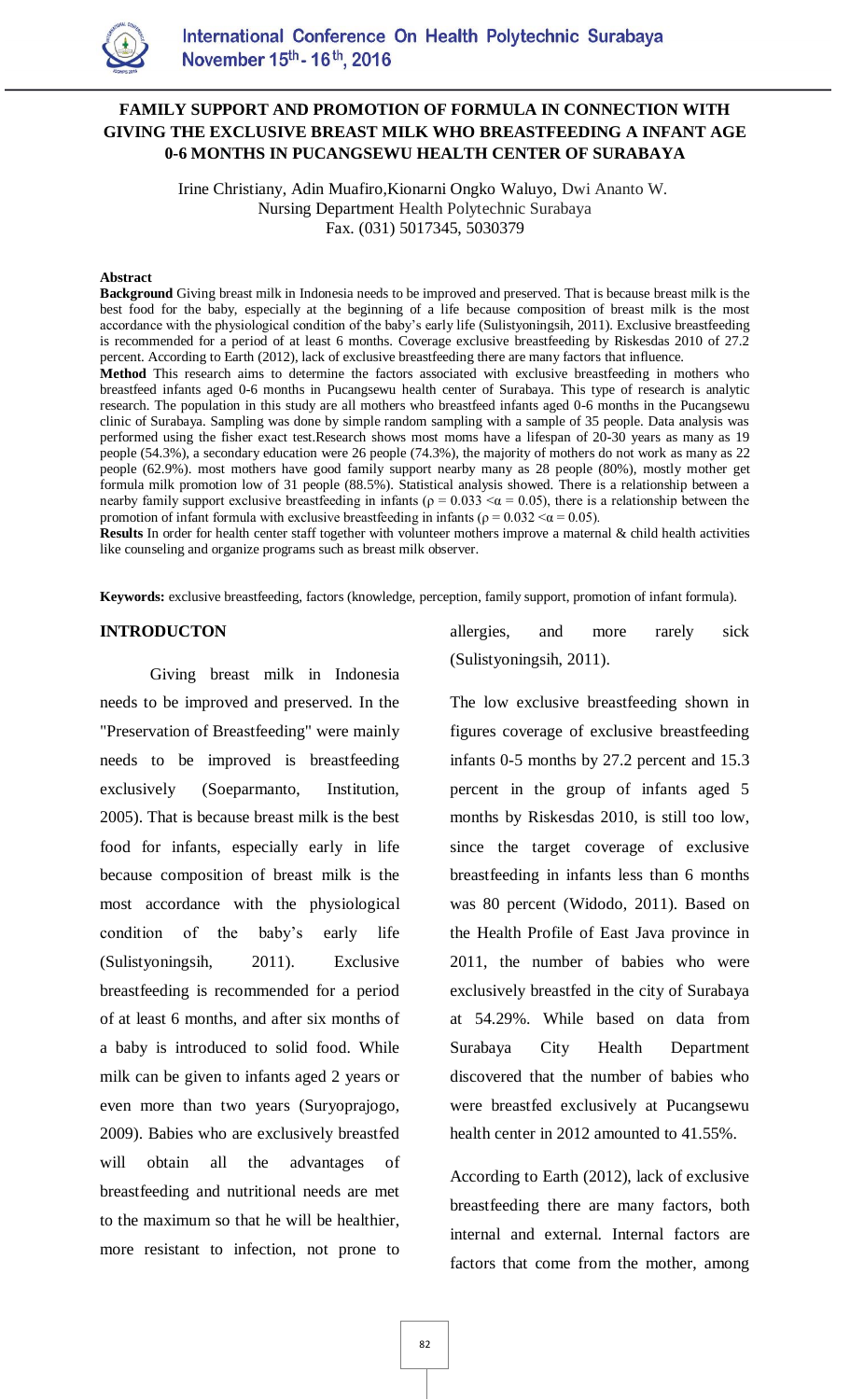

## **FAMILY SUPPORT AND PROMOTION OF FORMULA IN CONNECTION WITH GIVING THE EXCLUSIVE BREAST MILK WHO BREASTFEEDING A INFANT AGE 0-6 MONTHS IN PUCANGSEWU HEALTH CENTER OF SURABAYA**

Irine Christiany, Adin Muafiro,Kionarni Ongko Waluyo, Dwi Ananto W. Nursing Department Health Polytechnic Surabaya Fax. (031) 5017345, 5030379

#### **Abstract**

**Background** Giving breast milk in Indonesia needs to be improved and preserved. That is because breast milk is the best food for the baby, especially at the beginning of a life because composition of breast milk is the most accordance with the physiological condition of the baby's early life (Sulistyoningsih, 2011). Exclusive breastfeeding is recommended for a period of at least 6 months. Coverage exclusive breastfeeding by Riskesdas 2010 of 27.2 percent. According to Earth (2012), lack of exclusive breastfeeding there are many factors that influence.

**Method** This research aims to determine the factors associated with exclusive breastfeeding in mothers who breastfeed infants aged 0-6 months in Pucangsewu health center of Surabaya. This type of research is analytic research. The population in this study are all mothers who breastfeed infants aged 0-6 months in the Pucangsewu clinic of Surabaya. Sampling was done by simple random sampling with a sample of 35 people. Data analysis was performed using the fisher exact test.Research shows most moms have a lifespan of 20-30 years as many as 19 people (54.3%), a secondary education were 26 people (74.3%), the majority of mothers do not work as many as 22 people (62.9%). most mothers have good family support nearby many as 28 people (80%), mostly mother get formula milk promotion low of 31 people (88.5%). Statistical analysis showed. There is a relationship between a nearby family support exclusive breastfeeding in infants ( $\rho = 0.033 \le \alpha = 0.05$ ), there is a relationship between the promotion of infant formula with exclusive breastfeeding in infants ( $\rho = 0.032 < \alpha = 0.05$ ).

**Results** In order for health center staff together with volunteer mothers improve a maternal & child health activities like counseling and organize programs such as breast milk observer.

**Keywords:** exclusive breastfeeding, factors (knowledge, perception, family support, promotion of infant formula).

#### **INTRODUCTON**

Giving breast milk in Indonesia needs to be improved and preserved. In the "Preservation of Breastfeeding" were mainly needs to be improved is breastfeeding exclusively (Soeparmanto, Institution, 2005). That is because breast milk is the best food for infants, especially early in life because composition of breast milk is the most accordance with the physiological condition of the baby's early life (Sulistyoningsih, 2011). Exclusive breastfeeding is recommended for a period of at least 6 months, and after six months of a baby is introduced to solid food. While milk can be given to infants aged 2 years or even more than two years (Suryoprajogo, 2009). Babies who are exclusively breastfed will obtain all the advantages of breastfeeding and nutritional needs are met to the maximum so that he will be healthier, more resistant to infection, not prone to allergies, and more rarely sick (Sulistyoningsih, 2011).

The low exclusive breastfeeding shown in figures coverage of exclusive breastfeeding infants 0-5 months by 27.2 percent and 15.3 percent in the group of infants aged 5 months by Riskesdas 2010, is still too low, since the target coverage of exclusive breastfeeding in infants less than 6 months was 80 percent (Widodo, 2011). Based on the Health Profile of East Java province in 2011, the number of babies who were exclusively breastfed in the city of Surabaya at 54.29%. While based on data from Surabaya City Health Department discovered that the number of babies who were breastfed exclusively at Pucangsewu health center in 2012 amounted to 41.55%.

According to Earth (2012), lack of exclusive breastfeeding there are many factors, both internal and external. Internal factors are factors that come from the mother, among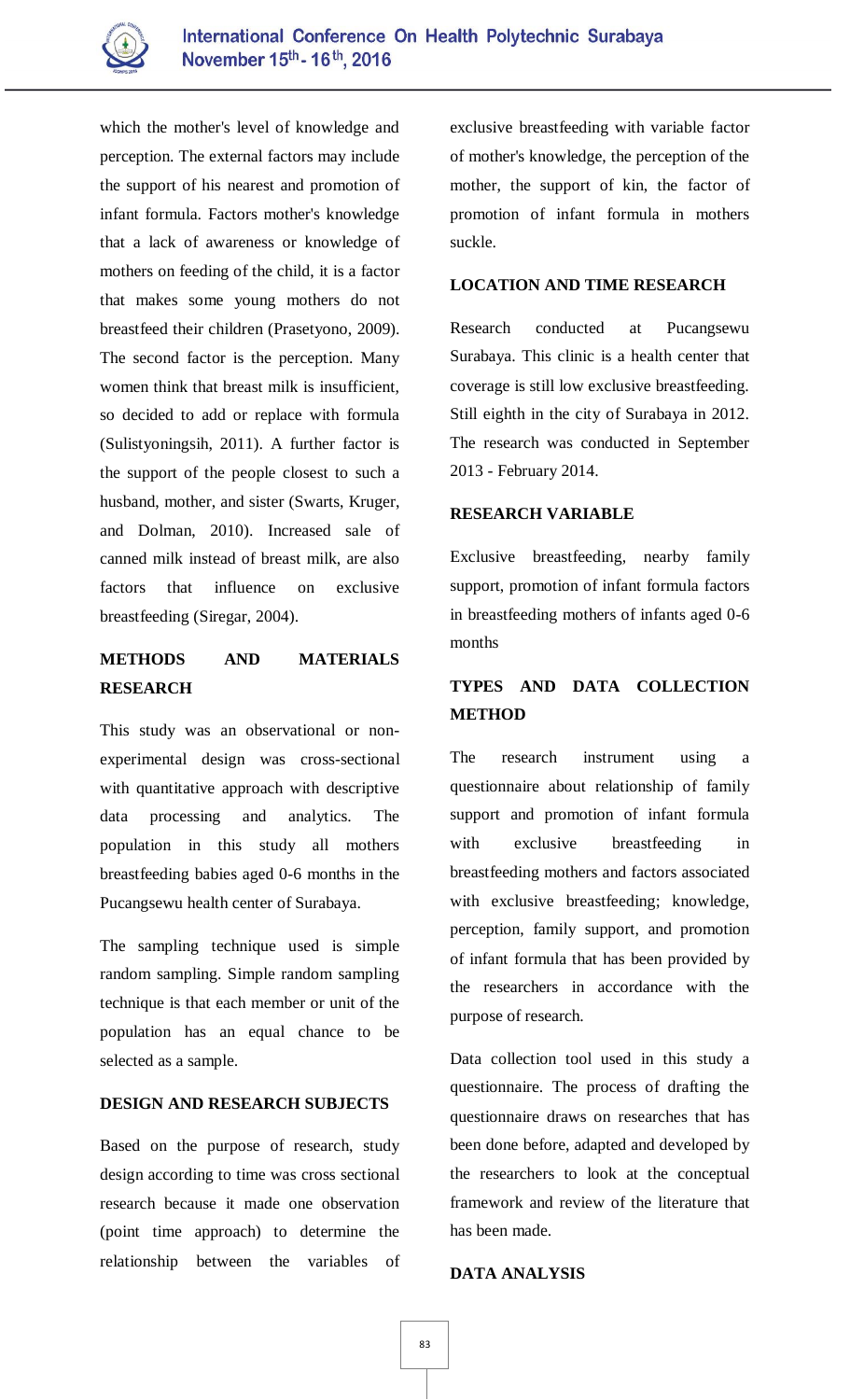

which the mother's level of knowledge and perception. The external factors may include the support of his nearest and promotion of infant formula. Factors mother's knowledge that a lack of awareness or knowledge of mothers on feeding of the child, it is a factor that makes some young mothers do not breastfeed their children (Prasetyono, 2009). The second factor is the perception. Many women think that breast milk is insufficient, so decided to add or replace with formula (Sulistyoningsih, 2011). A further factor is the support of the people closest to such a husband, mother, and sister (Swarts, Kruger, and Dolman, 2010). Increased sale of canned milk instead of breast milk, are also factors that influence on exclusive breastfeeding (Siregar, 2004).

# **METHODS AND MATERIALS RESEARCH**

This study was an observational or nonexperimental design was cross-sectional with quantitative approach with descriptive data processing and analytics. The population in this study all mothers breastfeeding babies aged 0-6 months in the Pucangsewu health center of Surabaya.

The sampling technique used is simple random sampling. Simple random sampling technique is that each member or unit of the population has an equal chance to be selected as a sample.

## **DESIGN AND RESEARCH SUBJECTS**

Based on the purpose of research, study design according to time was cross sectional research because it made one observation (point time approach) to determine the relationship between the variables of exclusive breastfeeding with variable factor of mother's knowledge, the perception of the mother, the support of kin, the factor of promotion of infant formula in mothers suckle.

### **LOCATION AND TIME RESEARCH**

Research conducted at Pucangsewu Surabaya. This clinic is a health center that coverage is still low exclusive breastfeeding. Still eighth in the city of Surabaya in 2012. The research was conducted in September 2013 - February 2014.

### **RESEARCH VARIABLE**

Exclusive breastfeeding, nearby family support, promotion of infant formula factors in breastfeeding mothers of infants aged 0-6 months

# **TYPES AND DATA COLLECTION METHOD**

The research instrument using a questionnaire about relationship of family support and promotion of infant formula with exclusive breastfeeding in breastfeeding mothers and factors associated with exclusive breastfeeding; knowledge, perception, family support, and promotion of infant formula that has been provided by the researchers in accordance with the purpose of research.

Data collection tool used in this study a questionnaire. The process of drafting the questionnaire draws on researches that has been done before, adapted and developed by the researchers to look at the conceptual framework and review of the literature that has been made.

### **DATA ANALYSIS**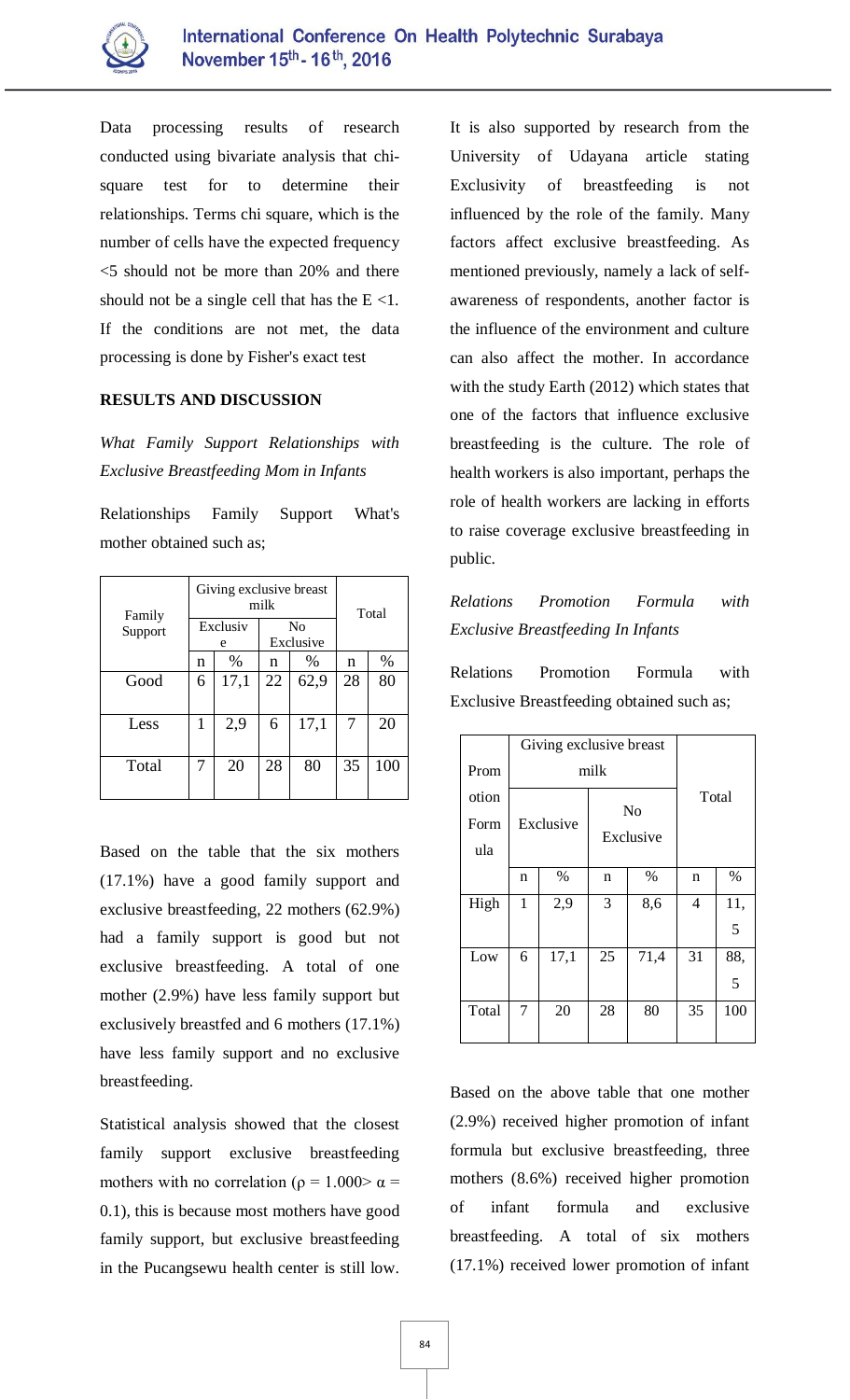

Data processing results of research conducted using bivariate analysis that chisquare test for to determine their relationships. Terms chi square, which is the number of cells have the expected frequency <5 should not be more than 20% and there should not be a single cell that has the  $E \le 1$ . If the conditions are not met, the data processing is done by Fisher's exact test

### **RESULTS AND DISCUSSION**

*What Family Support Relationships with Exclusive Breastfeeding Mom in Infants*

| Relationships Family Support What's |  |  |
|-------------------------------------|--|--|
| mother obtained such as;            |  |  |

| Family<br>Support | Giving exclusive breast<br>milk |      |                             |      | Total |      |
|-------------------|---------------------------------|------|-----------------------------|------|-------|------|
|                   | Exclusiv<br>e                   |      | N <sub>0</sub><br>Exclusive |      |       |      |
|                   | n                               | %    | n                           | %    | n     | $\%$ |
| Good              | 6                               | 17,1 | 22                          | 62,9 | 28    | 80   |
| Less              | 1                               | 2,9  | 6                           | 17,1 | 7     | 20   |
| Total             | 7                               | 20   | 28                          | 80   | 35    | 100  |

Based on the table that the six mothers (17.1%) have a good family support and exclusive breastfeeding, 22 mothers (62.9%) had a family support is good but not exclusive breastfeeding. A total of one mother (2.9%) have less family support but exclusively breastfed and 6 mothers (17.1%) have less family support and no exclusive breastfeeding.

Statistical analysis showed that the closest family support exclusive breastfeeding mothers with no correlation ( $\rho = 1.000 > \alpha =$ 0.1), this is because most mothers have good family support, but exclusive breastfeeding in the Pucangsewu health center is still low.

It is also supported by research from the University of Udayana article stating Exclusivity of breastfeeding is not influenced by the role of the family. Many factors affect exclusive breastfeeding. As mentioned previously, namely a lack of selfawareness of respondents, another factor is the influence of the environment and culture can also affect the mother. In accordance with the study Earth (2012) which states that one of the factors that influence exclusive breastfeeding is the culture. The role of health workers is also important, perhaps the role of health workers are lacking in efforts to raise coverage exclusive breastfeeding in public.

# *Relations Promotion Formula with Exclusive Breastfeeding In Infants*

Relations Promotion Formula with Exclusive Breastfeeding obtained such as;

|       |              | Giving exclusive breast |                             |      |       |      |
|-------|--------------|-------------------------|-----------------------------|------|-------|------|
| Prom  | milk         |                         |                             |      |       |      |
| otion | Exclusive    |                         | N <sub>o</sub><br>Exclusive |      | Total |      |
| Form  |              |                         |                             |      |       |      |
| ula   |              |                         |                             |      |       |      |
|       | n            | %                       | n                           | %    | n     | $\%$ |
| High  | $\mathbf{1}$ | 2,9                     | 3                           | 8,6  | 4     | 11,  |
|       |              |                         |                             |      |       | 5    |
| Low   | 6            | 17,1                    | 25                          | 71,4 | 31    | 88,  |
|       |              |                         |                             |      |       | 5    |
| Total | 7            | 20                      | 28                          | 80   | 35    | 100  |

Based on the above table that one mother (2.9%) received higher promotion of infant formula but exclusive breastfeeding, three mothers (8.6%) received higher promotion of infant formula and exclusive breastfeeding. A total of six mothers (17.1%) received lower promotion of infant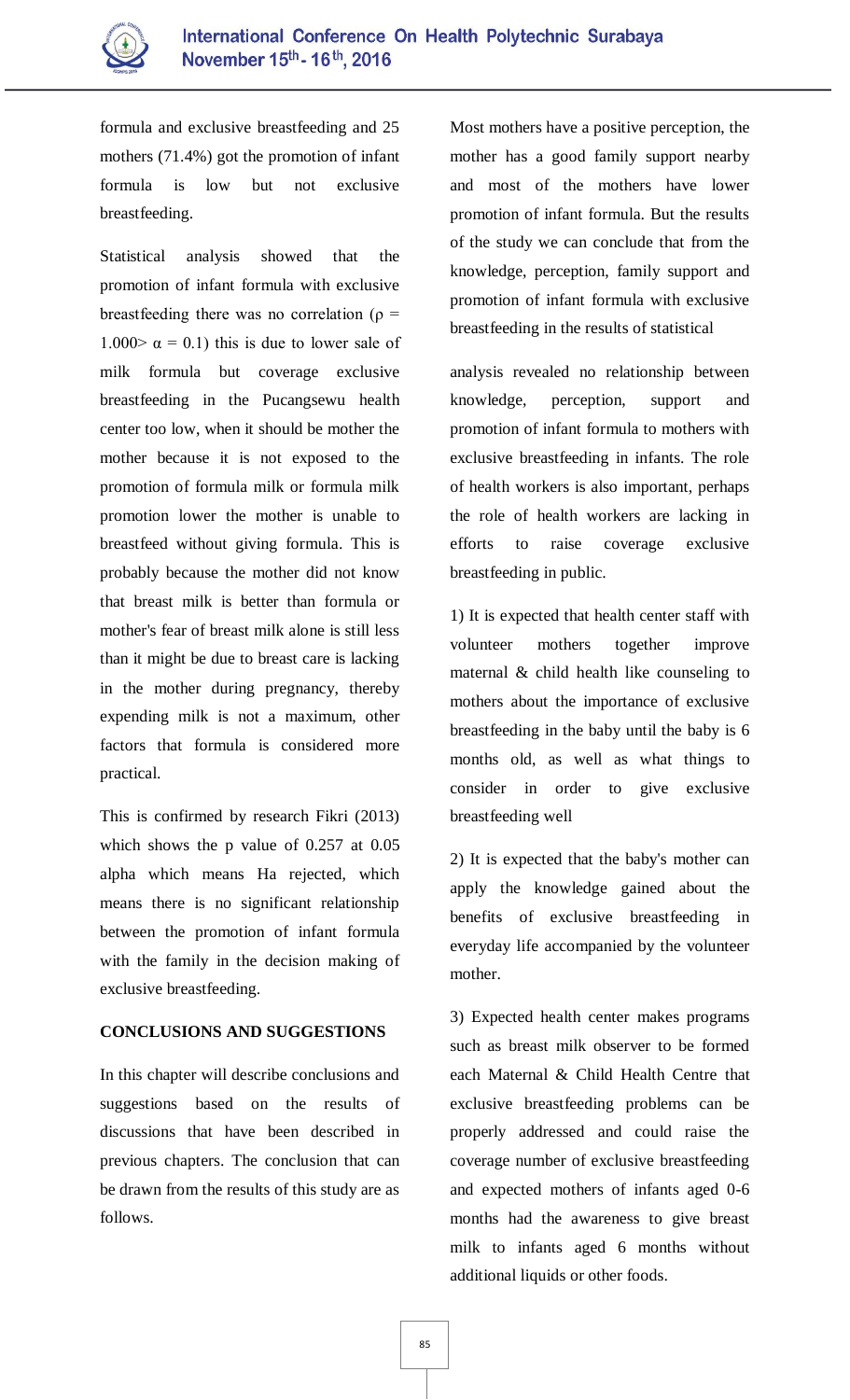

formula and exclusive breastfeeding and 25 mothers (71.4%) got the promotion of infant formula is low but not exclusive breastfeeding.

Statistical analysis showed that the promotion of infant formula with exclusive breastfeeding there was no correlation ( $\rho$  = 1.000  $\alpha$  = 0.1) this is due to lower sale of milk formula but coverage exclusive breastfeeding in the Pucangsewu health center too low, when it should be mother the mother because it is not exposed to the promotion of formula milk or formula milk promotion lower the mother is unable to breastfeed without giving formula. This is probably because the mother did not know that breast milk is better than formula or mother's fear of breast milk alone is still less than it might be due to breast care is lacking in the mother during pregnancy, thereby expending milk is not a maximum, other factors that formula is considered more practical.

This is confirmed by research Fikri (2013) which shows the p value of 0.257 at 0.05 alpha which means Ha rejected, which means there is no significant relationship between the promotion of infant formula with the family in the decision making of exclusive breastfeeding.

### **CONCLUSIONS AND SUGGESTIONS**

In this chapter will describe conclusions and suggestions based on the results of discussions that have been described in previous chapters. The conclusion that can be drawn from the results of this study are as follows.

Most mothers have a positive perception, the mother has a good family support nearby and most of the mothers have lower promotion of infant formula. But the results of the study we can conclude that from the knowledge, perception, family support and promotion of infant formula with exclusive breastfeeding in the results of statistical

analysis revealed no relationship between knowledge, perception, support and promotion of infant formula to mothers with exclusive breastfeeding in infants. The role of health workers is also important, perhaps the role of health workers are lacking in efforts to raise coverage exclusive breastfeeding in public.

1) It is expected that health center staff with volunteer mothers together improve maternal & child health like counseling to mothers about the importance of exclusive breastfeeding in the baby until the baby is 6 months old, as well as what things to consider in order to give exclusive breastfeeding well

2) It is expected that the baby's mother can apply the knowledge gained about the benefits of exclusive breastfeeding in everyday life accompanied by the volunteer mother.

3) Expected health center makes programs such as breast milk observer to be formed each Maternal & Child Health Centre that exclusive breastfeeding problems can be properly addressed and could raise the coverage number of exclusive breastfeeding and expected mothers of infants aged 0-6 months had the awareness to give breast milk to infants aged 6 months without additional liquids or other foods.